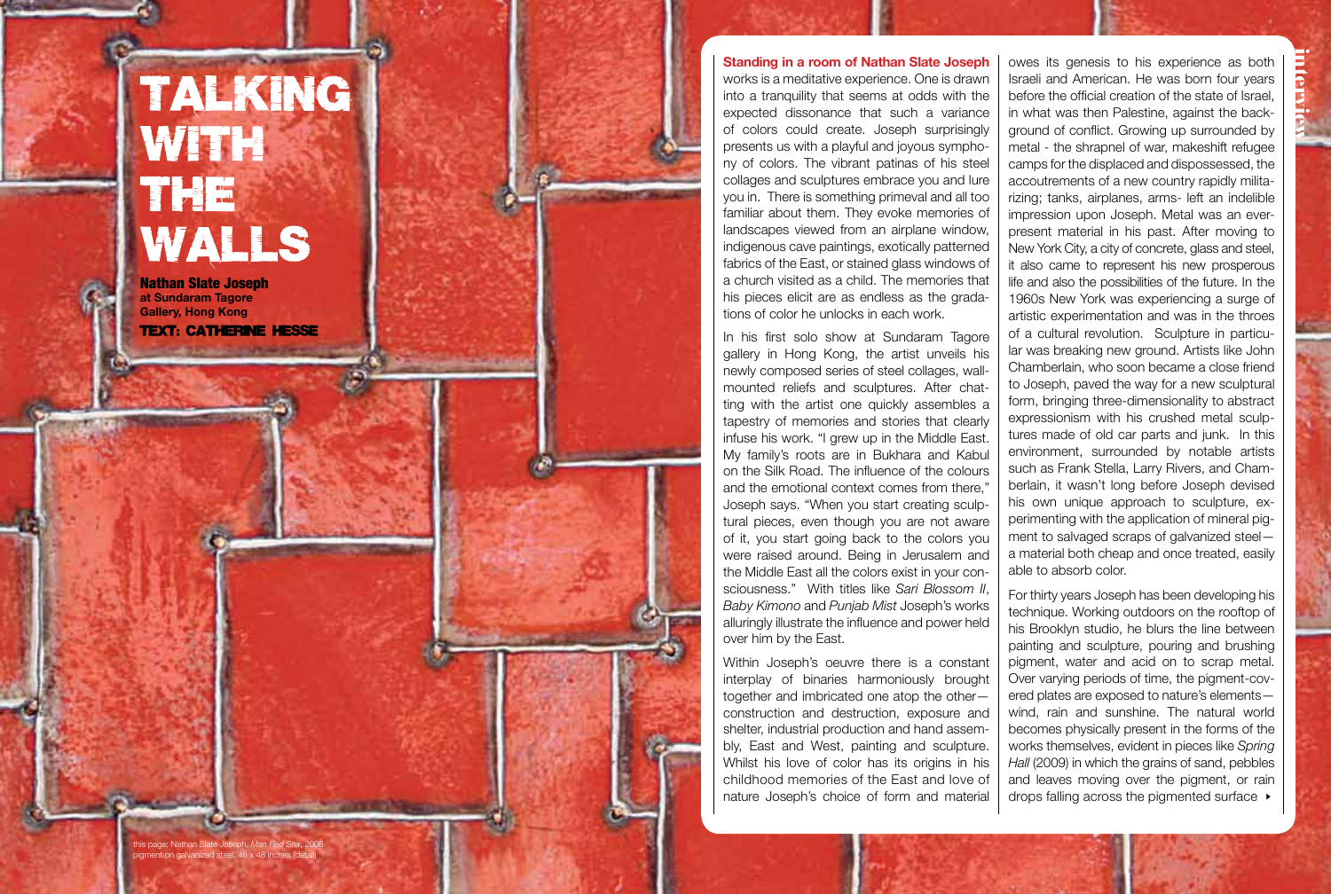## TALKING WHI **The Second Second Second** WALLS

Nathan Slate Joseph **at Sundaram Tagore Gallery, Hong KongTEXT: CATHERINE HESSE** 

**19 He propertive pairward and construction (detail)** this page: Nathan Slate Joseph, *Man Red Sea*, 2006 pigment on galvanized steel, 48 x 48 inches (detail)

**Standing in a room of Nathan Slate Joseph**  works is a meditative experience. One is drawn into a tranquility that seems at odds with the expected dissonance that such a variance of colors could create. Joseph surprisingly presents us with a playful and joyous sympho ny of colors. The vibrant patinas of his steel collages and sculptures embrace you and lure you in. There is something primeval and all too familiar about them. They evoke memories of landscapes viewed from an airplane window, indigenous cave paintings, exotically patterned fabrics of the East, or stained glass windows of a church visited as a child. The memories that his pieces elicit are as endless as the grada tions of color he unlocks in each work.

In his first solo show at Sundaram Tagore gallery in Hong Kong, the artist unveils his newly composed series of steel collages, wallmounted reliefs and sculptures. After chatting with the artist one quickly assembles a tapestry of memories and stories that clearly infuse his work. "I grew up in the Middle East. My family's roots are in Bukhara and Kabul on the Silk Road. The influence of the colours and the emotional context comes from there," Joseph says. "When you start creating sculp tural pieces, even though you are not aware of it, you start going back to the colors you were raised around. Being in Jerusalem and the Middle East all the colors exist in your con sciousness." With titles like *Sari Blossom II*, *Baby Kimono* and *Punjab Mist* Joseph's works alluringly illustrate the influence and power held over him by the East.

Within Joseph's oeuvre there is a constant interplay of binaries harmoniously brought together and imbricated one atop the other construction and destruction, exposure and shelter, industrial production and hand assem bly, East and West, painting and sculpture. Whilst his love of color has its origins in his childhood memories of the East and love of nature Joseph's choice of form and material owes its genesis to his experience as both Israeli and American. He was born four years before the official creation of the state of Israel, in what was then Palestine, against the back ground of conflict. Growing up surrounded by metal - the shrapnel of war, makeshift refugee camps for the displaced and dispossessed, the accoutrements of a new country rapidly milita rizing; tanks, airplanes, arms- left an indelible impression upon Joseph. Metal was an everpresent material in his past. After moving to New York City, a city of concrete, glass and steel, it also came to represent his new prosperous life and also the possibilities of the future. In the 1960s New York was experiencing a surge of artistic experimentation and was in the throes of a cultural revolution. Sculpture in particu lar was breaking new ground. Artists like John Chamberlain, who soon became a close friend to Joseph, paved the way for a new sculptural form, bringing three-dimensionality to abstract expressionism with his crushed metal sculp tures made of old car parts and junk. In this environment, surrounded by notable artists such as Frank Stella, Larry Rivers, and Cham berlain, it wasn't long before Joseph devised his own unique approach to sculpture, ex perimenting with the application of mineral pig ment to salvaged scraps of galvanized steel a material both cheap and once treated, easily able to absorb color.

interview

For thirty years Joseph has been developing his technique. Working outdoors on the rooftop of his Brooklyn studio, he blurs the line between painting and sculpture, pouring and brushing pigment, water and acid on to scrap metal. Over varying periods of time, the pigment-cov ered plates are exposed to nature's elements wind, rain and sunshine. The natural world becomes physically present in the forms of the works themselves, evident in pieces like *Spring Hall* (2009) in which the grains of sand, pebbles and leaves moving over the pigment, or rain drops falling across the pigmented surface 4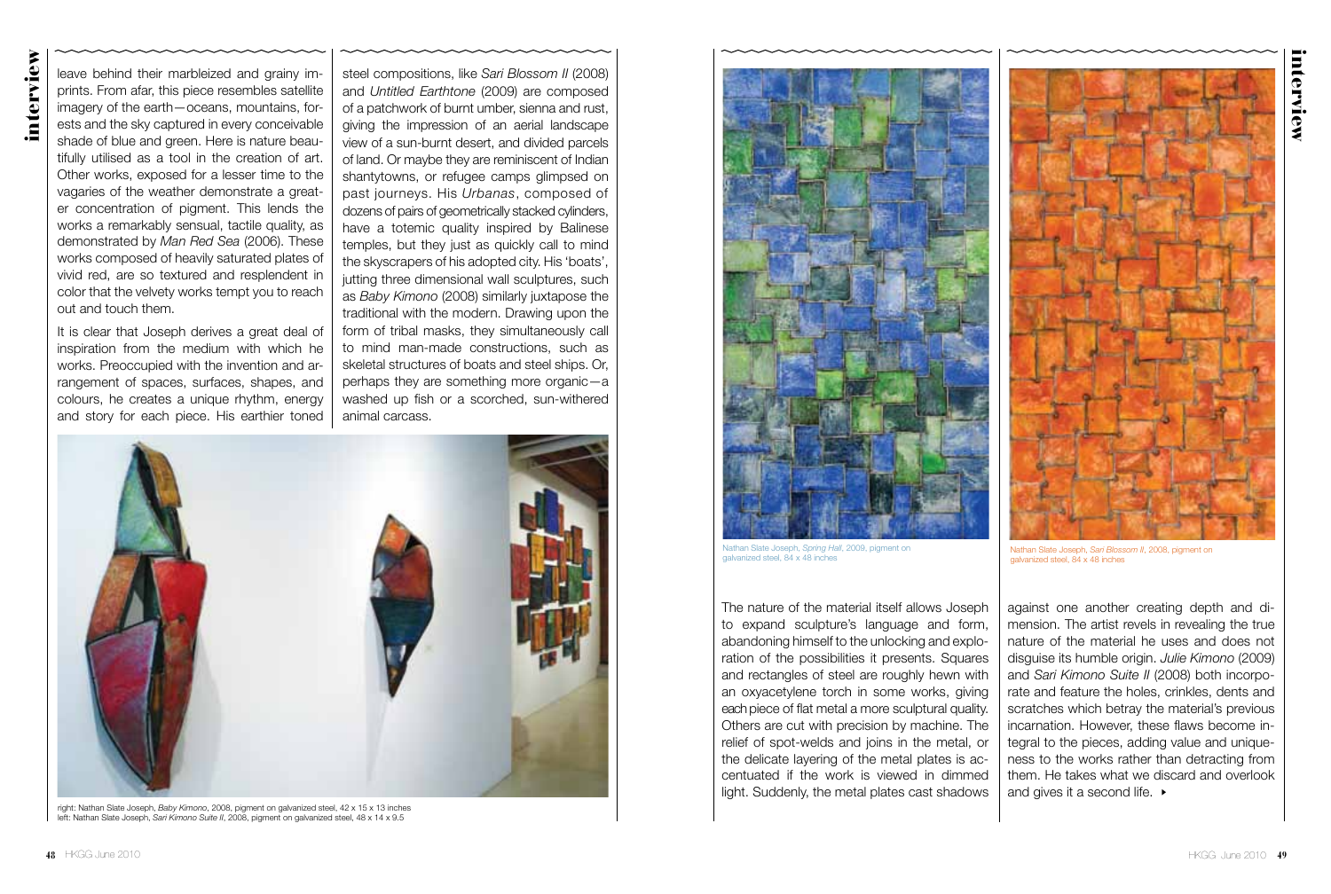leave behind their marbleized and grainy imprints. From afar, this piece resembles satellite imagery of the earth—oceans, mountains, forests and the sky captured in every conceivable shade of blue and green. Here is nature beautifully utilised as a tool in the creation of art. Other works, exposed for a lesser time to the vagaries of the weather demonstrate a greater concentration of pigment. This lends the works a remarkably sensual, tactile quality, as demonstrated by *Man Red Sea* (2006). These works composed of heavily saturated plates of vivid red, are so textured and resplendent in color that the velvety works tempt you to reach out and touch them.

It is clear that Joseph derives a great deal of inspiration from the medium with which he works. Preoccupied with the invention and arrangement of spaces, surfaces, shapes, and colours, he creates a unique rhythm, energy and story for each piece. His earthier toned steel compositions, like *Sari Blossom II* (2008) and *Untitled Earthtone* (2009) are composed of a patchwork of burnt umber, sienna and rust, giving the impression of an aerial landscape view of a sun-burnt desert, and divided parcels of land. Or maybe they are reminiscent of Indian shantytowns, or refugee camps glimpsed on past journeys. His *Urbanas*, composed of dozens of pairs of geometrically stacked cylinders, have a totemic quality inspired by Balinese temples, but they just as quickly call to mind the skyscrapers of his adopted city. His 'boats', jutting three dimensional wall sculptures, such as *Baby Kimono* (2008) similarly juxtapose the traditional with the modern. Drawing upon the form of tribal masks, they simultaneously call to mind man-made constructions, such as skeletal structures of boats and steel ships. Or, perhaps they are something more organic—a washed up fish or a scorched, sun-withered animal carcass.



right: Nathan Slate Joseph, *Baby Kimono*, 2008, pigment on galvanized steel, 42 x 15 x 13 inches left: Nathan Slate Joseph, *Sari Kimono Suite II*, 2008, pigment on galvanized steel, 48 x 14 x 9.5



Nathan Slate Joseph, *Spring Hall*, 2009, pigment on galvanized steel, 84 x 48 inches

The nature of the material itself allows Joseph to expand sculpture's language and form, abandoning himself to the unlocking and exploration of the possibilities it presents. Squares and rectangles of steel are roughly hewn with an oxyacetylene torch in some works, giving each piece of flat metal a more sculptural quality. Others are cut with precision by machine. The relief of spot-welds and joins in the metal, or the delicate layering of the metal plates is accentuated if the work is viewed in dimmed light. Suddenly, the metal plates cast shadows

Nathan Slate Joseph, *Sari Blossom II*, 2008, pigment on galvanized steel, 84 x 48 inches

against one another creating depth and dimension. The artist revels in revealing the true nature of the material he uses and does not disguise its humble origin. *Julie Kimono* (2009) and *Sari Kimono Suite II* (2008) both incorporate and feature the holes, crinkles, dents and scratches which betray the material's previous incarnation. However, these flaws become integral to the pieces, adding value and uniqueness to the works rather than detracting from them. He takes what we discard and overlook and gives it a second life.  $\blacktriangleright$